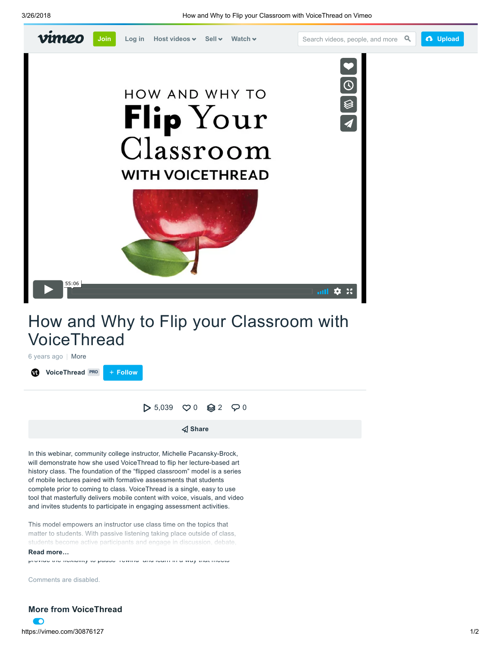

## How and Why to Flip your Classroom with VoiceThread

6 years ago | More **W** [VoiceThread](https://vimeo.com/voicethread) [PRO](https://vimeo.com/pro) + Follow

 $> 5,039$  $> 5,039$  $> 5,039$   $\heartsuit 0$   $\&$  [2](https://vimeo.com/30876127/collections)  $\heartsuit 0$ 

 $\triangleleft$  Share

In this webinar, community college instructor, Michelle Pacansky-Brock, will demonstrate how she used VoiceThread to flip her lecture-based art history class. The foundation of the "flipped classroom" model is a series of mobile lectures paired with formative assessments that students complete prior to coming to class. VoiceThread is a single, easy to use tool that masterfully delivers mobile content with voice, visuals, and video and invites students to participate in engaging assessment activities.

This model empowers an instructor use class time on the topics that matter to students. With passive listening taking place outside of class, students become active participants and engage in discussion, debate,

**Read more…** critique to foster thinking skills. The mobile leader thanking skills. The mobile leader of the mobile leader of the mobile leader of the mobile leader of the mobile leader of the mobile leader of the mobile l

provide the flexibility to pause rewind and learn in a way that meets

<span id="page-0-0"></span>Comments are disabled.